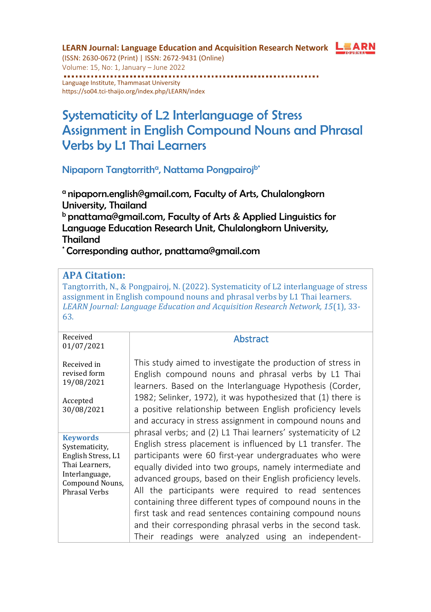

**LEARN Journal: Language Education and Acquisition Research Network**  (ISSN: 2630-0672 (Print) | ISSN: 2672-9431 (Online) Volume: 15, No: 1, January – June 2022 Language Institute, Thammasat University <https://so04.tci-thaijo.org/index.php/LEARN/index>

# Systematicity of L2 Interlanguage of Stress Assignment in English Compound Nouns and Phrasal Verbs by L1 Thai Learners

Nipaporn Tangtorrith<sup>a</sup>, Nattama Pongpairoj<sup>b\*</sup>

<sup>a</sup> nipaporn.english@gmail.com, Faculty of Arts, Chulalongkorn University, Thailand **b** pnattama@gmail.com, Faculty of Arts & Applied Linguistics for Language Education Research Unit, Chulalongkorn University, Thailand

\* Corresponding author, pnattama@gmail.com

#### **APA Citation:**

Tangtorrith, N., & Pongpairoj, N. (2022). Systematicity of L2 interlanguage of stress assignment in English compound nouns and phrasal verbs by L1 Thai learners. *LEARN Journal: Language Education and Acquisition Research Network, 15*(1), 33- 63.

| Received<br>01/07/2021                                                                                                          | <b>Abstract</b>                                                                                                                                                                                                                                                                                                                                                                                                                                                                                                                                                                                                     |
|---------------------------------------------------------------------------------------------------------------------------------|---------------------------------------------------------------------------------------------------------------------------------------------------------------------------------------------------------------------------------------------------------------------------------------------------------------------------------------------------------------------------------------------------------------------------------------------------------------------------------------------------------------------------------------------------------------------------------------------------------------------|
| Received in<br>revised form<br>19/08/2021<br>Accepted<br>30/08/2021                                                             | This study aimed to investigate the production of stress in<br>English compound nouns and phrasal verbs by L1 Thai<br>learners. Based on the Interlanguage Hypothesis (Corder,<br>1982; Selinker, 1972), it was hypothesized that (1) there is<br>a positive relationship between English proficiency levels<br>and accuracy in stress assignment in compound nouns and                                                                                                                                                                                                                                             |
| <b>Keywords</b><br>Systematicity,<br>English Stress, L1<br>Thai Learners,<br>Interlanguage,<br>Compound Nouns,<br>Phrasal Verbs | phrasal verbs; and (2) L1 Thai learners' systematicity of L2<br>English stress placement is influenced by L1 transfer. The<br>participants were 60 first-year undergraduates who were<br>equally divided into two groups, namely intermediate and<br>advanced groups, based on their English proficiency levels.<br>All the participants were required to read sentences<br>containing three different types of compound nouns in the<br>first task and read sentences containing compound nouns<br>and their corresponding phrasal verbs in the second task.<br>Their readings were analyzed using an independent- |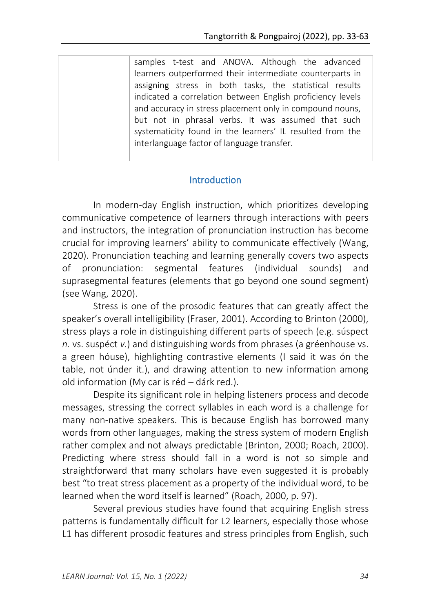samples t-test and ANOVA. Although the advanced learners outperformed their intermediate counterparts in assigning stress in both tasks, the statistical results indicated a correlation between English proficiency levels and accuracy in stress placement only in compound nouns, but not in phrasal verbs. It was assumed that such systematicity found in the learners' IL resulted from the interlanguage factor of language transfer.

### Introduction

In modern-day English instruction, which prioritizes developing communicative competence of learners through interactions with peers and instructors, the integration of pronunciation instruction has become crucial for improving learners' ability to communicate effectively (Wang, 2020). Pronunciation teaching and learning generally covers two aspects of pronunciation: segmental features (individual sounds) and suprasegmental features (elements that go beyond one sound segment) (see Wang, 2020).

Stress is one of the prosodic features that can greatly affect the speaker's overall intelligibility (Fraser, 2001). According to Brinton (2000), stress plays a role in distinguishing different parts of speech (e.g. súspect *n.* vs. suspéct *v*.) and distinguishing words from phrases (a gréenhouse vs. a green hóuse), highlighting contrastive elements (I said it was ón the table, not únder it.), and drawing attention to new information among old information (My car is réd – dárk red.).

Despite its significant role in helping listeners process and decode messages, stressing the correct syllables in each word is a challenge for many non-native speakers. This is because English has borrowed many words from other languages, making the stress system of modern English rather complex and not always predictable (Brinton, 2000; Roach, 2000). Predicting where stress should fall in a word is not so simple and straightforward that many scholars have even suggested it is probably best "to treat stress placement as a property of the individual word, to be learned when the word itself is learned" (Roach, 2000, p. 97).

Several previous studies have found that acquiring English stress patterns is fundamentally difficult for L2 learners, especially those whose L1 has different prosodic features and stress principles from English, such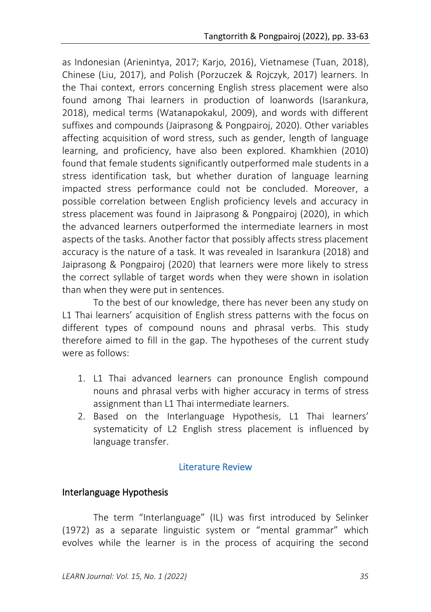as Indonesian (Arienintya, 2017; Karjo, 2016), Vietnamese (Tuan, 2018), Chinese (Liu, 2017), and Polish (Porzuczek & Rojczyk, 2017) learners. In the Thai context, errors concerning English stress placement were also found among Thai learners in production of loanwords (Isarankura, 2018), medical terms (Watanapokakul, 2009), and words with different suffixes and compounds (Jaiprasong & Pongpairoj, 2020). Other variables affecting acquisition of word stress, such as gender, length of language learning, and proficiency, have also been explored. Khamkhien (2010) found that female students significantly outperformed male students in a stress identification task, but whether duration of language learning impacted stress performance could not be concluded. Moreover, a possible correlation between English proficiency levels and accuracy in stress placement was found in Jaiprasong & Pongpairoj (2020), in which the advanced learners outperformed the intermediate learners in most aspects of the tasks. Another factor that possibly affects stress placement accuracy is the nature of a task. It was revealed in Isarankura (2018) and Jaiprasong & Pongpairoj (2020) that learners were more likely to stress the correct syllable of target words when they were shown in isolation than when they were put in sentences.

To the best of our knowledge, there has never been any study on L1 Thai learners' acquisition of English stress patterns with the focus on different types of compound nouns and phrasal verbs. This study therefore aimed to fill in the gap. The hypotheses of the current study were as follows:

- 1. L1 Thai advanced learners can pronounce English compound nouns and phrasal verbs with higher accuracy in terms of stress assignment than L1 Thai intermediate learners.
- 2. Based on the Interlanguage Hypothesis, L1 Thai learners' systematicity of L2 English stress placement is influenced by language transfer.

### Literature Review

### Interlanguage Hypothesis

The term "Interlanguage" (IL) was first introduced by Selinker (1972) as a separate linguistic system or "mental grammar" which evolves while the learner is in the process of acquiring the second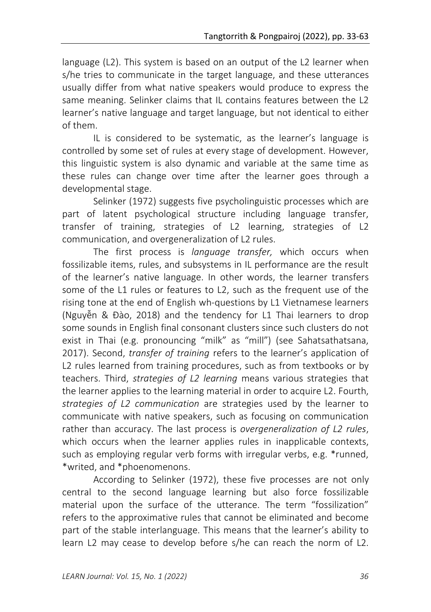language (L2). This system is based on an output of the L2 learner when s/he tries to communicate in the target language, and these utterances usually differ from what native speakers would produce to express the same meaning. Selinker claims that IL contains features between the L2 learner's native language and target language, but not identical to either of them.

IL is considered to be systematic, as the learner's language is controlled by some set of rules at every stage of development. However, this linguistic system is also dynamic and variable at the same time as these rules can change over time after the learner goes through a developmental stage.

Selinker (1972) suggests five psycholinguistic processes which are part of latent psychological structure including language transfer, transfer of training, strategies of L2 learning, strategies of L2 communication, and overgeneralization of L2 rules.

The first process is *language transfer,* which occurs when fossilizable items, rules, and subsystems in IL performance are the result of the learner's native language. In other words, the learner transfers some of the L1 rules or features to L2, such as the frequent use of the rising tone at the end of English wh-questions by L1 Vietnamese learners (Nguyễn & Đào, 2018) and the tendency for L1 Thai learners to drop some sounds in English final consonant clusters since such clusters do not exist in Thai (e.g. pronouncing "milk" as "mill") (see Sahatsathatsana, 2017). Second, *transfer of training* refers to the learner's application of L2 rules learned from training procedures, such as from textbooks or by teachers. Third, *strategies of L2 learning* means various strategies that the learner applies to the learning material in order to acquire L2. Fourth, *strategies of L2 communication* are strategies used by the learner to communicate with native speakers, such as focusing on communication rather than accuracy. The last process is *overgeneralization of L2 rules*, which occurs when the learner applies rules in inapplicable contexts, such as employing regular verb forms with irregular verbs, e.g. \*runned, \*writed, and \*phoenomenons.

According to Selinker (1972), these five processes are not only central to the second language learning but also force fossilizable material upon the surface of the utterance. The term "fossilization" refers to the approximative rules that cannot be eliminated and become part of the stable interlanguage. This means that the learner's ability to learn L2 may cease to develop before s/he can reach the norm of L2.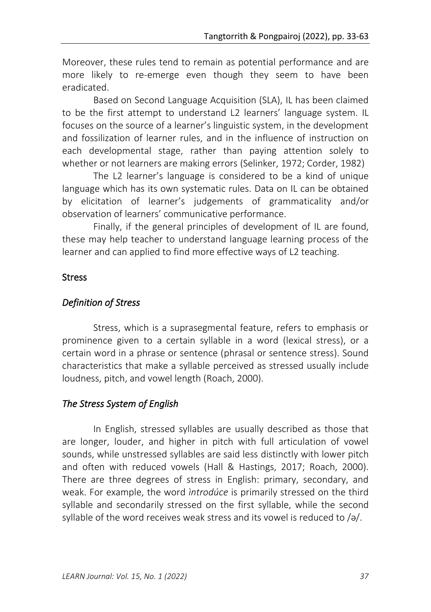Moreover, these rules tend to remain as potential performance and are more likely to re-emerge even though they seem to have been eradicated.

Based on Second Language Acquisition (SLA), IL has been claimed to be the first attempt to understand L2 learners' language system. IL focuses on the source of a learner's linguistic system, in the development and fossilization of learner rules, and in the influence of instruction on each developmental stage, rather than paying attention solely to whether or not learners are making errors (Selinker, 1972; Corder, 1982)

The L2 learner's language is considered to be a kind of unique language which has its own systematic rules. Data on IL can be obtained by elicitation of learner's judgements of grammaticality and/or observation of learners' communicative performance.

Finally, if the general principles of development of IL are found, these may help teacher to understand language learning process of the learner and can applied to find more effective ways of L2 teaching.

# Stress

# *Definition of Stress*

Stress, which is a suprasegmental feature, refers to emphasis or prominence given to a certain syllable in a word (lexical stress), or a certain word in a phrase or sentence (phrasal or sentence stress). Sound characteristics that make a syllable perceived as stressed usually include loudness, pitch, and vowel length (Roach, 2000).

# *The Stress System of English*

In English, stressed syllables are usually described as those that are longer, louder, and higher in pitch with full articulation of vowel sounds, while unstressed syllables are said less distinctly with lower pitch and often with reduced vowels (Hall & Hastings, 2017; Roach, 2000). There are three degrees of stress in English: primary, secondary, and weak. For example, the word *ìntrodúce* is primarily stressed on the third syllable and secondarily stressed on the first syllable, while the second syllable of the word receives weak stress and its vowel is reduced to /ə/.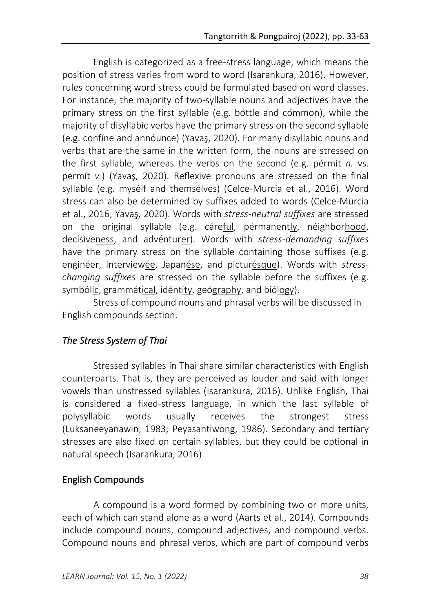English is categorized as a free-stress language, which means the position of stress varies from word to word (Isarankura, 2016). However, rules concerning word stress could be formulated based on word classes. For instance, the majority of two-syllable nouns and adjectives have the primary stress on the first syllable (e.g. bóttle and cómmon), while the majority of disyllabic verbs have the primary stress on the second syllable (e.g. confíne and annóunce) (Yavaş, 2020). For many disyllabic nouns and verbs that are the same in the written form, the nouns are stressed on the first syllable, whereas the verbs on the second (e.g. pérmit *n.* vs. permít *v.*) (Yavaş, 2020). Reflexive pronouns are stressed on the final syllable (e.g. mysélf and themsélves) (Celce-Murcia et al., 2016). Word stress can also be determined by suffixes added to words (Celce-Murcia et al., 2016; Yavaş, 2020). Words with *stress-neutral suffixes* are stressed on the original syllable (e.g. cáreful, pérmanently, néighborhood, decísiveness, and advénturer). Words with *stress-demanding suffixes* have the primary stress on the syllable containing those suffixes (e.g. enginéer, interviewée, Japanése, and picturésque). Words with *stresschanging suffixes* are stressed on the syllable before the suffixes (e.g. symbólic, grammátical, idéntity, geógraphy, and biólogy).

Stress of compound nouns and phrasal verbs will be discussed in English compounds section.

# *The Stress System of Thai*

Stressed syllables in Thai share similar characteristics with English counterparts. That is, they are perceived as louder and said with longer vowels than unstressed syllables (Isarankura, 2016). Unlike English, Thai is considered a fixed-stress language, in which the last syllable of polysyllabic words usually receives the strongest stress (Luksaneeyanawin, 1983; Peyasantiwong, 1986). Secondary and tertiary stresses are also fixed on certain syllables, but they could be optional in natural speech (Isarankura, 2016)

# English Compounds

A compound is a word formed by combining two or more units, each of which can stand alone as a word (Aarts et al., 2014). Compounds include compound nouns, compound adjectives, and compound verbs. Compound nouns and phrasal verbs, which are part of compound verbs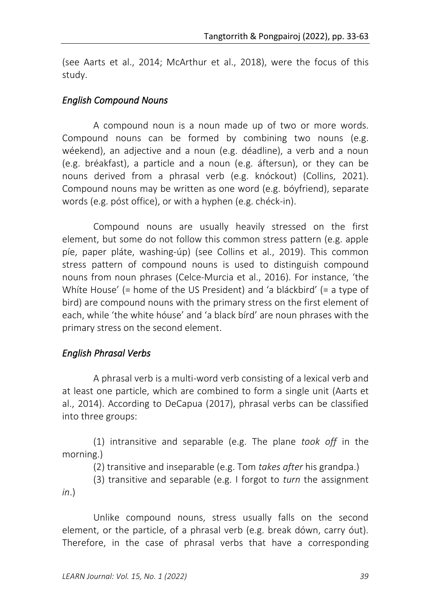(see Aarts et al., 2014; McArthur et al., 2018), were the focus of this study.

#### *English Compound Nouns*

A compound noun is a noun made up of two or more words. Compound nouns can be formed by combining two nouns (e.g. wéekend), an adjective and a noun (e.g. déadline), a verb and a noun (e.g. bréakfast), a particle and a noun (e.g. áftersun), or they can be nouns derived from a phrasal verb (e.g. knóckout) (Collins, 2021). Compound nouns may be written as one word (e.g. bóyfriend), separate words (e.g. póst office), or with a hyphen (e.g. chéck-in).

Compound nouns are usually heavily stressed on the first element, but some do not follow this common stress pattern (e.g. apple píe, paper pláte, washing-úp) (see Collins et al., 2019). This common stress pattern of compound nouns is used to distinguish compound nouns from noun phrases (Celce-Murcia et al., 2016). For instance, 'the Whíte House' (= home of the US President) and 'a bláckbird' (= a type of bird) are compound nouns with the primary stress on the first element of each, while 'the white hóuse' and 'a black bírd' are noun phrases with the primary stress on the second element.

### *English Phrasal Verbs*

A phrasal verb is a multi-word verb consisting of a lexical verb and at least one particle, which are combined to form a single unit (Aarts et al., 2014). According to DeCapua (2017), phrasal verbs can be classified into three groups:

(1) intransitive and separable (e.g. The plane *took off* in the morning.)

(2) transitive and inseparable (e.g. Tom *takes after* his grandpa.)

(3) transitive and separable (e.g. I forgot to *turn* the assignment *in*.)

Unlike compound nouns, stress usually falls on the second element, or the particle, of a phrasal verb (e.g. break dówn, carry óut). Therefore, in the case of phrasal verbs that have a corresponding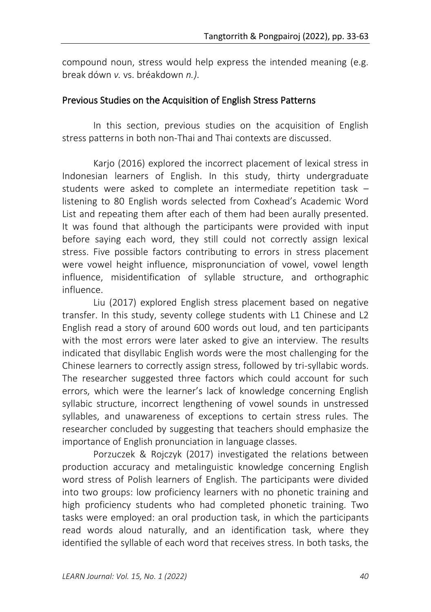compound noun, stress would help express the intended meaning (e.g. break dówn *v.* vs. bréakdown *n.)*.

### Previous Studies on the Acquisition of English Stress Patterns

In this section, previous studies on the acquisition of English stress patterns in both non-Thai and Thai contexts are discussed.

Karjo (2016) explored the incorrect placement of lexical stress in Indonesian learners of English. In this study, thirty undergraduate students were asked to complete an intermediate repetition task – listening to 80 English words selected from Coxhead's Academic Word List and repeating them after each of them had been aurally presented. It was found that although the participants were provided with input before saying each word, they still could not correctly assign lexical stress. Five possible factors contributing to errors in stress placement were vowel height influence, mispronunciation of vowel, vowel length influence, misidentification of syllable structure, and orthographic influence.

Liu (2017) explored English stress placement based on negative transfer. In this study, seventy college students with L1 Chinese and L2 English read a story of around 600 words out loud, and ten participants with the most errors were later asked to give an interview. The results indicated that disyllabic English words were the most challenging for the Chinese learners to correctly assign stress, followed by tri-syllabic words. The researcher suggested three factors which could account for such errors, which were the learner's lack of knowledge concerning English syllabic structure, incorrect lengthening of vowel sounds in unstressed syllables, and unawareness of exceptions to certain stress rules. The researcher concluded by suggesting that teachers should emphasize the importance of English pronunciation in language classes.

Porzuczek & Rojczyk (2017) investigated the relations between production accuracy and metalinguistic knowledge concerning English word stress of Polish learners of English. The participants were divided into two groups: low proficiency learners with no phonetic training and high proficiency students who had completed phonetic training. Two tasks were employed: an oral production task, in which the participants read words aloud naturally, and an identification task, where they identified the syllable of each word that receives stress. In both tasks, the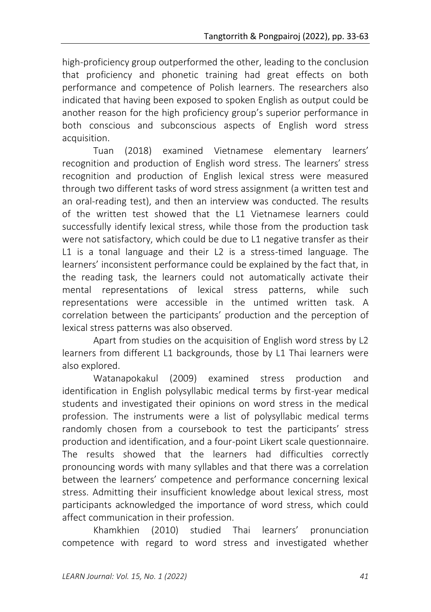high-proficiency group outperformed the other, leading to the conclusion that proficiency and phonetic training had great effects on both performance and competence of Polish learners. The researchers also indicated that having been exposed to spoken English as output could be another reason for the high proficiency group's superior performance in both conscious and subconscious aspects of English word stress acquisition.

Tuan (2018) examined Vietnamese elementary learners' recognition and production of English word stress. The learners' stress recognition and production of English lexical stress were measured through two different tasks of word stress assignment (a written test and an oral-reading test), and then an interview was conducted. The results of the written test showed that the L1 Vietnamese learners could successfully identify lexical stress, while those from the production task were not satisfactory, which could be due to L1 negative transfer as their L1 is a tonal language and their L2 is a stress-timed language. The learners' inconsistent performance could be explained by the fact that, in the reading task, the learners could not automatically activate their mental representations of lexical stress patterns, while such representations were accessible in the untimed written task. A correlation between the participants' production and the perception of lexical stress patterns was also observed.

Apart from studies on the acquisition of English word stress by L2 learners from different L1 backgrounds, those by L1 Thai learners were also explored.

Watanapokakul (2009) examined stress production and identification in English polysyllabic medical terms by first-year medical students and investigated their opinions on word stress in the medical profession. The instruments were a list of polysyllabic medical terms randomly chosen from a coursebook to test the participants' stress production and identification, and a four-point Likert scale questionnaire. The results showed that the learners had difficulties correctly pronouncing words with many syllables and that there was a correlation between the learners' competence and performance concerning lexical stress. Admitting their insufficient knowledge about lexical stress, most participants acknowledged the importance of word stress, which could affect communication in their profession.

Khamkhien (2010) studied Thai learners' pronunciation competence with regard to word stress and investigated whether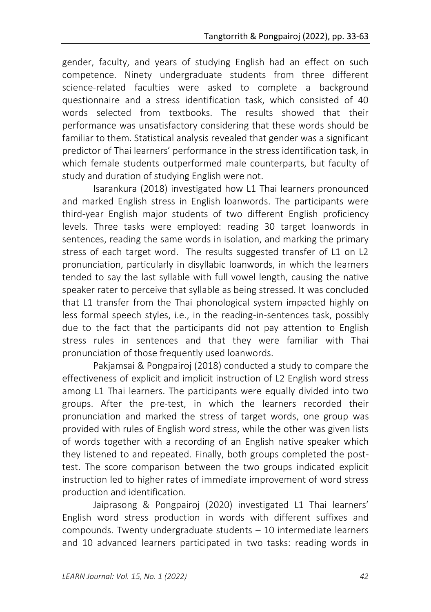gender, faculty, and years of studying English had an effect on such competence. Ninety undergraduate students from three different science-related faculties were asked to complete a background questionnaire and a stress identification task, which consisted of 40 words selected from textbooks. The results showed that their performance was unsatisfactory considering that these words should be familiar to them. Statistical analysis revealed that gender was a significant predictor of Thai learners' performance in the stress identification task, in which female students outperformed male counterparts, but faculty of study and duration of studying English were not.

Isarankura (2018) investigated how L1 Thai learners pronounced and marked English stress in English loanwords. The participants were third-year English major students of two different English proficiency levels. Three tasks were employed: reading 30 target loanwords in sentences, reading the same words in isolation, and marking the primary stress of each target word. The results suggested transfer of L1 on L2 pronunciation, particularly in disyllabic loanwords, in which the learners tended to say the last syllable with full vowel length, causing the native speaker rater to perceive that syllable as being stressed. It was concluded that L1 transfer from the Thai phonological system impacted highly on less formal speech styles, i.e., in the reading-in-sentences task, possibly due to the fact that the participants did not pay attention to English stress rules in sentences and that they were familiar with Thai pronunciation of those frequently used loanwords.

Pakjamsai & Pongpairoj (2018) conducted a study to compare the effectiveness of explicit and implicit instruction of L2 English word stress among L1 Thai learners. The participants were equally divided into two groups. After the pre-test, in which the learners recorded their pronunciation and marked the stress of target words, one group was provided with rules of English word stress, while the other was given lists of words together with a recording of an English native speaker which they listened to and repeated. Finally, both groups completed the posttest. The score comparison between the two groups indicated explicit instruction led to higher rates of immediate improvement of word stress production and identification.

Jaiprasong & Pongpairoj (2020) investigated L1 Thai learners' English word stress production in words with different suffixes and compounds. Twenty undergraduate students – 10 intermediate learners and 10 advanced learners participated in two tasks: reading words in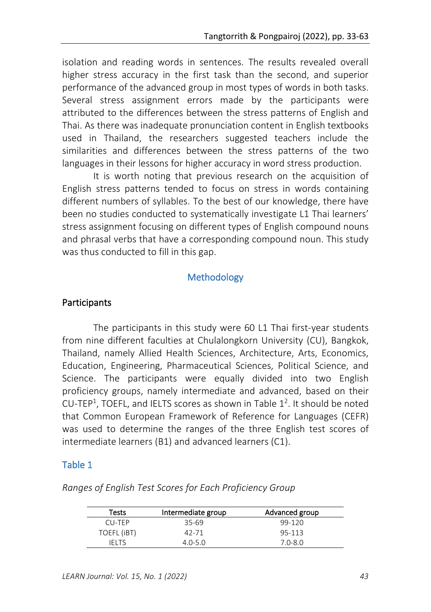isolation and reading words in sentences. The results revealed overall higher stress accuracy in the first task than the second, and superior performance of the advanced group in most types of words in both tasks. Several stress assignment errors made by the participants were attributed to the differences between the stress patterns of English and Thai. As there was inadequate pronunciation content in English textbooks used in Thailand, the researchers suggested teachers include the similarities and differences between the stress patterns of the two languages in their lessons for higher accuracy in word stress production.

It is worth noting that previous research on the acquisition of English stress patterns tended to focus on stress in words containing different numbers of syllables. To the best of our knowledge, there have been no studies conducted to systematically investigate L1 Thai learners' stress assignment focusing on different types of English compound nouns and phrasal verbs that have a corresponding compound noun. This study was thus conducted to fill in this gap.

# Methodology

### Participants

The participants in this study were 60 L1 Thai first-year students from nine different faculties at Chulalongkorn University (CU), Bangkok, Thailand, namely Allied Health Sciences, Architecture, Arts, Economics, Education, Engineering, Pharmaceutical Sciences, Political Science, and Science. The participants were equally divided into two English proficiency groups, namely intermediate and advanced, based on their CU-TEP<sup>1</sup>, TOEFL, and IELTS scores as shown in Table  $1^2$ . It should be noted that Common European Framework of Reference for Languages (CEFR) was used to determine the ranges of the three English test scores of intermediate learners (B1) and advanced learners (C1).

# Table 1

| Tests       | Intermediate group | Advanced group |
|-------------|--------------------|----------------|
| CU-TEP      | 35-69              | 99-120         |
| TOEFL (iBT) | 42-71              | 95-113         |
| IEI TS      | $4.0 - 5.0$        | $7.0 - 8.0$    |

*Ranges of English Test Scores for Each Proficiency Group*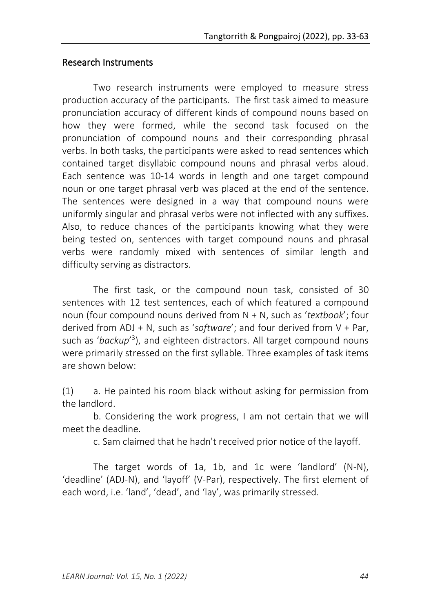### Research Instruments

Two research instruments were employed to measure stress production accuracy of the participants. The first task aimed to measure pronunciation accuracy of different kinds of compound nouns based on how they were formed, while the second task focused on the pronunciation of compound nouns and their corresponding phrasal verbs. In both tasks, the participants were asked to read sentences which contained target disyllabic compound nouns and phrasal verbs aloud. Each sentence was 10-14 words in length and one target compound noun or one target phrasal verb was placed at the end of the sentence. The sentences were designed in a way that compound nouns were uniformly singular and phrasal verbs were not inflected with any suffixes. Also, to reduce chances of the participants knowing what they were being tested on, sentences with target compound nouns and phrasal verbs were randomly mixed with sentences of similar length and difficulty serving as distractors.

The first task, or the compound noun task, consisted of 30 sentences with 12 test sentences, each of which featured a compound noun (four compound nouns derived from N + N, such as '*textbook*'; four derived from ADJ + N, such as '*software*'; and four derived from V + Par, such as 'backup'<sup>3</sup>), and eighteen distractors. All target compound nouns were primarily stressed on the first syllable. Three examples of task items are shown below:

(1) a. He painted his room black without asking for permission from the landlord.

b. Considering the work progress, I am not certain that we will meet the deadline.

c. Sam claimed that he hadn't received prior notice of the layoff.

The target words of 1a, 1b, and 1c were 'landlord' (N-N), 'deadline' (ADJ-N), and 'layoff' (V-Par), respectively. The first element of each word, i.e. 'land', 'dead', and 'lay', was primarily stressed.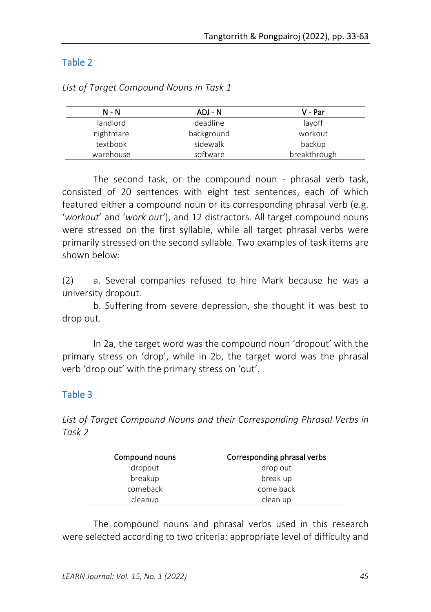# Table 2

| N - N     | ADJ - N    | V - Par      |
|-----------|------------|--------------|
| landlord  | deadline   | layoff       |
| nightmare | background | workout      |
| textbook  | sidewalk   | backup       |
| warehouse | software   | breakthrough |

*List of Target Compound Nouns in Task 1*

The second task, or the compound noun - phrasal verb task, consisted of 20 sentences with eight test sentences, each of which featured either a compound noun or its corresponding phrasal verb (e.g. '*workout*' and '*work out'*), and 12 distractors. All target compound nouns were stressed on the first syllable, while all target phrasal verbs were primarily stressed on the second syllable. Two examples of task items are shown below:

(2) a. Several companies refused to hire Mark because he was a university dropout.

b. Suffering from severe depression, she thought it was best to drop out.

In 2a, the target word was the compound noun 'dropout' with the primary stress on 'drop', while in 2b, the target word was the phrasal verb 'drop out' with the primary stress on 'out'.

# Table 3

*List of Target Compound Nouns and their Corresponding Phrasal Verbs in Task 2*

| Compound nouns | Corresponding phrasal verbs |
|----------------|-----------------------------|
| dropout        | drop out                    |
| breakup        | break up                    |
| comeback       | come back                   |
| cleanup        | clean up                    |

The compound nouns and phrasal verbs used in this research were selected according to two criteria: appropriate level of difficulty and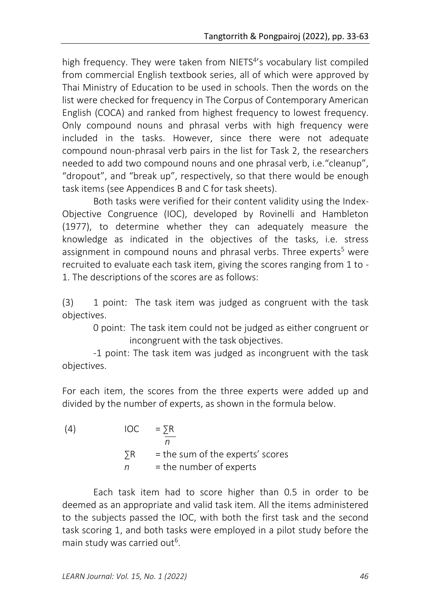high frequency. They were taken from NIETS<sup>4'</sup>s vocabulary list compiled from commercial English textbook series, all of which were approved by Thai Ministry of Education to be used in schools. Then the words on the list were checked for frequency in The Corpus of Contemporary American English (COCA) and ranked from highest frequency to lowest frequency. Only compound nouns and phrasal verbs with high frequency were included in the tasks. However, since there were not adequate compound noun-phrasal verb pairs in the list for Task 2, the researchers needed to add two compound nouns and one phrasal verb, i.e."cleanup", "dropout", and "break up", respectively, so that there would be enough task items (see Appendices B and C for task sheets).

Both tasks were verified for their content validity using the Index-Objective Congruence (IOC), developed by Rovinelli and Hambleton (1977), to determine whether they can adequately measure the knowledge as indicated in the objectives of the tasks, i.e. stress assignment in compound nouns and phrasal verbs. Three experts <sup>5</sup> were recruited to evaluate each task item, giving the scores ranging from 1 to - 1. The descriptions of the scores are as follows:

(3) 1 point: The task item was judged as congruent with the task objectives.

> 0 point: The task item could not be judged as either congruent or incongruent with the task objectives.

-1 point: The task item was judged as incongruent with the task objectives.

For each item, the scores from the three experts were added up and divided by the number of experts, as shown in the formula below.

| (4) |            | $\overline{OC}$ = $\overline{SR}$ |
|-----|------------|-----------------------------------|
|     | $\Sigma$ R | = the sum of the experts' scores  |
|     | n -        | $=$ the number of experts         |

Each task item had to score higher than 0.5 in order to be deemed as an appropriate and valid task item. All the items administered to the subjects passed the IOC, with both the first task and the second task scoring 1, and both tasks were employed in a pilot study before the main study was carried out<sup>6</sup>.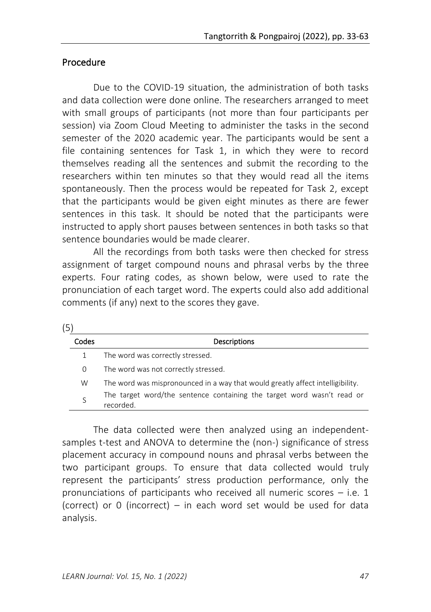# Procedure

Due to the COVID-19 situation, the administration of both tasks and data collection were done online. The researchers arranged to meet with small groups of participants (not more than four participants per session) via Zoom Cloud Meeting to administer the tasks in the second semester of the 2020 academic year. The participants would be sent a file containing sentences for Task 1, in which they were to record themselves reading all the sentences and submit the recording to the researchers within ten minutes so that they would read all the items spontaneously. Then the process would be repeated for Task 2, except that the participants would be given eight minutes as there are fewer sentences in this task. It should be noted that the participants were instructed to apply short pauses between sentences in both tasks so that sentence boundaries would be made clearer.

All the recordings from both tasks were then checked for stress assignment of target compound nouns and phrasal verbs by the three experts. Four rating codes, as shown below, were used to rate the pronunciation of each target word. The experts could also add additional comments (if any) next to the scores they gave.

| ۰, |  |
|----|--|

| Codes | <b>Descriptions</b>                                                                 |
|-------|-------------------------------------------------------------------------------------|
|       | The word was correctly stressed.                                                    |
| 0     | The word was not correctly stressed.                                                |
| W     | The word was mispronounced in a way that would greatly affect intelligibility.      |
|       | The target word/the sentence containing the target word wasn't read or<br>recorded. |

The data collected were then analyzed using an independentsamples t-test and ANOVA to determine the (non-) significance of stress placement accuracy in compound nouns and phrasal verbs between the two participant groups. To ensure that data collected would truly represent the participants' stress production performance, only the pronunciations of participants who received all numeric scores  $-$  i.e. 1 (correct) or 0 (incorrect) – in each word set would be used for data analysis.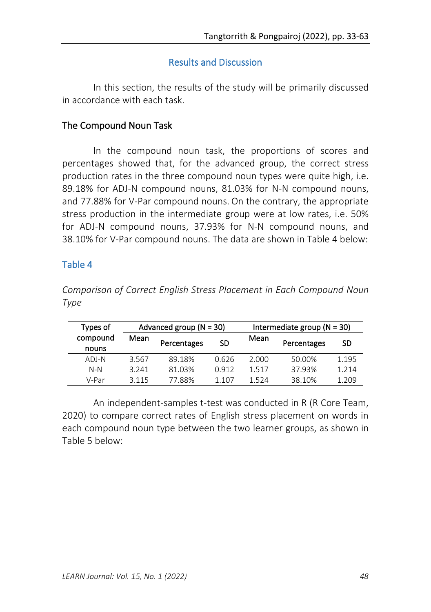# Results and Discussion

In this section, the results of the study will be primarily discussed in accordance with each task.

# The Compound Noun Task

In the compound noun task, the proportions of scores and percentages showed that, for the advanced group, the correct stress production rates in the three compound noun types were quite high, i.e. 89.18% for ADJ-N compound nouns, 81.03% for N-N compound nouns, and 77.88% for V-Par compound nouns. On the contrary, the appropriate stress production in the intermediate group were at low rates, i.e. 50% for ADJ-N compound nouns, 37.93% for N-N compound nouns, and 38.10% for V-Par compound nouns. The data are shown in Table 4 below:

# Table 4

*Comparison of Correct English Stress Placement in Each Compound Noun Type*

| Types of          |                     | Advanced group ( $N = 30$ ) |       |       | Intermediate group ( $N = 30$ ) |       |
|-------------------|---------------------|-----------------------------|-------|-------|---------------------------------|-------|
| compound<br>nouns | Mean<br>Percentages |                             | SD    | Mean  | Percentages                     | SD    |
| ADI-N             | 3.567               | 89.18%                      | 0.626 | 2.000 | 50.00%                          | 1.195 |
| $N-N$             | 3.241               | 81.03%                      | 0.912 | 1.517 | 37.93%                          | 1.214 |
| V-Par             | 3 1 1 5             | 77.88%                      | 1 107 | 1524  | 38.10%                          | 1.209 |

An independent-samples t-test was conducted in R (R Core Team, 2020) to compare correct rates of English stress placement on words in each compound noun type between the two learner groups, as shown in Table 5 below: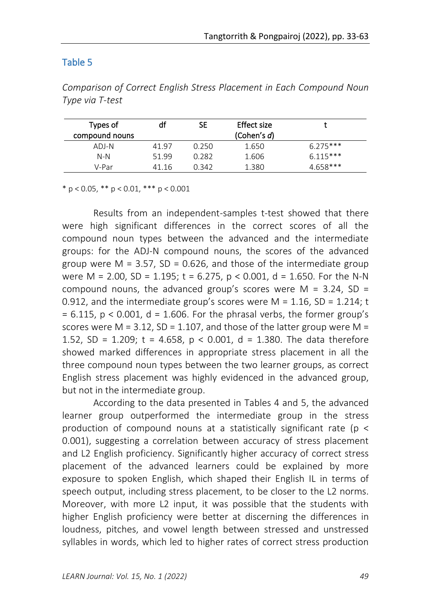# Table 5

| Types of<br>compound nouns | df    | SE    | Effect size<br>(Cohen's d) |            |
|----------------------------|-------|-------|----------------------------|------------|
| ADJ-N                      | 41 97 | 0.250 | 1.650                      | $6.275***$ |
| $N-N$                      | 51.99 | 0.282 | 1.606                      | $6.115***$ |
| V-Par                      | 41.16 | 0.342 | 1.380                      | $4658***$  |

*Comparison of Correct English Stress Placement in Each Compound Noun Type via T-test*

\* p < 0.05, \*\* p < 0.01, \*\*\* p < 0.001

Results from an independent-samples t-test showed that there were high significant differences in the correct scores of all the compound noun types between the advanced and the intermediate groups: for the ADJ-N compound nouns, the scores of the advanced group were  $M = 3.57$ ,  $SD = 0.626$ , and those of the intermediate group were M = 2.00, SD = 1.195; t = 6.275, p < 0.001, d = 1.650. For the N-N compound nouns, the advanced group's scores were  $M = 3.24$ , SD = 0.912, and the intermediate group's scores were  $M = 1.16$ , SD = 1.214; t  $= 6.115$ , p < 0.001, d = 1.606. For the phrasal verbs, the former group's scores were  $M = 3.12$ , SD = 1.107, and those of the latter group were  $M =$ 1.52, SD = 1.209; t = 4.658, p < 0.001, d = 1.380. The data therefore showed marked differences in appropriate stress placement in all the three compound noun types between the two learner groups, as correct English stress placement was highly evidenced in the advanced group, but not in the intermediate group.

According to the data presented in Tables 4 and 5, the advanced learner group outperformed the intermediate group in the stress production of compound nouns at a statistically significant rate ( $p <$ 0.001), suggesting a correlation between accuracy of stress placement and L2 English proficiency. Significantly higher accuracy of correct stress placement of the advanced learners could be explained by more exposure to spoken English, which shaped their English IL in terms of speech output, including stress placement, to be closer to the L2 norms. Moreover, with more L2 input, it was possible that the students with higher English proficiency were better at discerning the differences in loudness, pitches, and vowel length between stressed and unstressed syllables in words, which led to higher rates of correct stress production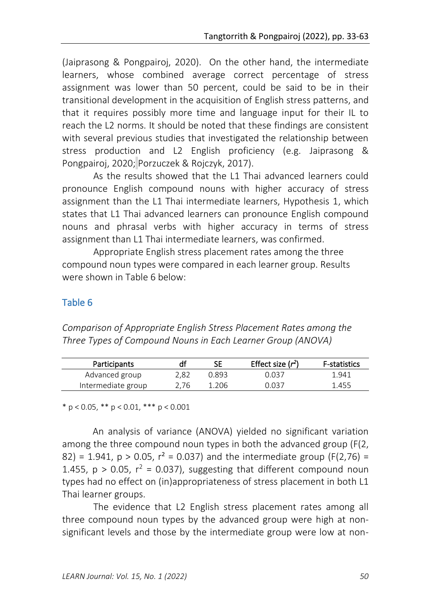(Jaiprasong & Pongpairoj, 2020). On the other hand, the intermediate learners, whose combined average correct percentage of stress assignment was lower than 50 percent, could be said to be in their transitional development in the acquisition of English stress patterns, and that it requires possibly more time and language input for their IL to reach the L2 norms. It should be noted that these findings are consistent with several previous studies that investigated the relationship between stress production and L2 English proficiency (e.g. Jaiprasong & Pongpairoj, 2020; Porzuczek & Rojczyk, 2017).

As the results showed that the L1 Thai advanced learners could pronounce English compound nouns with higher accuracy of stress assignment than the L1 Thai intermediate learners, Hypothesis 1, which states that L1 Thai advanced learners can pronounce English compound nouns and phrasal verbs with higher accuracy in terms of stress assignment than L1 Thai intermediate learners, was confirmed.

Appropriate English stress placement rates among the three compound noun types were compared in each learner group. Results were shown in Table 6 below:

# Table 6

*Comparison of Appropriate English Stress Placement Rates among the Three Types of Compound Nouns in Each Learner Group (ANOVA)*

| Participants       |      |       | Effect size $(r^2)$ | <b>F-statistics</b> |
|--------------------|------|-------|---------------------|---------------------|
| Advanced group     | 2.82 | 0.893 | 0.037               | 1.941               |
| Intermediate group | 2.76 | 1.206 | 0 037               | 1.455               |

\* p < 0.05, \*\* p < 0.01, \*\*\* p < 0.001

An analysis of variance (ANOVA) yielded no significant variation among the three compound noun types in both the advanced group (F(2, 82) = 1.941,  $p > 0.05$ ,  $r^2 = 0.037$ ) and the intermediate group (F(2,76) = 1.455,  $p > 0.05$ ,  $r^2 = 0.037$ ), suggesting that different compound noun types had no effect on (in)appropriateness of stress placement in both L1 Thai learner groups.

The evidence that L2 English stress placement rates among all three compound noun types by the advanced group were high at nonsignificant levels and those by the intermediate group were low at non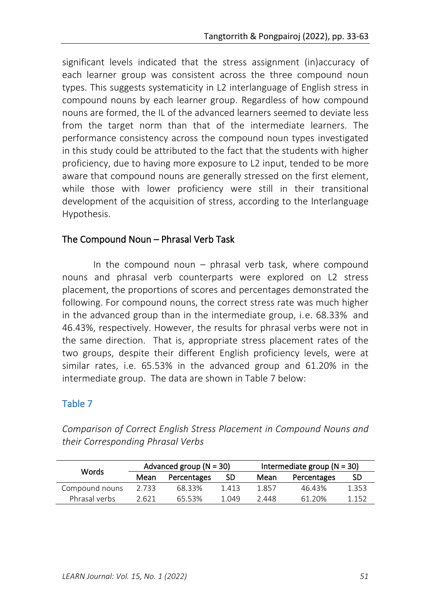significant levels indicated that the stress assignment (in)accuracy of each learner group was consistent across the three compound noun types. This suggests systematicity in L2 interlanguage of English stress in compound nouns by each learner group. Regardless of how compound nouns are formed, the IL of the advanced learners seemed to deviate less from the target norm than that of the intermediate learners. The performance consistency across the compound noun types investigated in this study could be attributed to the fact that the students with higher proficiency, due to having more exposure to L2 input, tended to be more aware that compound nouns are generally stressed on the first element, while those with lower proficiency were still in their transitional development of the acquisition of stress, according to the Interlanguage Hypothesis.

# The Compound Noun – Phrasal Verb Task

In the compound noun  $-$  phrasal verb task, where compound nouns and phrasal verb counterparts were explored on L2 stress placement, the proportions of scores and percentages demonstrated the following. For compound nouns, the correct stress rate was much higher in the advanced group than in the intermediate group, i.e. 68.33% and 46.43%, respectively. However, the results for phrasal verbs were not in the same direction. That is, appropriate stress placement rates of the two groups, despite their different English proficiency levels, were at similar rates, i.e. 65.53% in the advanced group and 61.20% in the intermediate group. The data are shown in Table 7 below:

# Table 7

*Comparison of Correct English Stress Placement in Compound Nouns and their Corresponding Phrasal Verbs*

| <b>Words</b>   |       | Advanced group $(N = 30)$ |       |       | Intermediate group ( $N = 30$ ) |       |  |
|----------------|-------|---------------------------|-------|-------|---------------------------------|-------|--|
|                | Mean  | Percentages               | SD    | Mean  | Percentages                     | SD    |  |
| Compound nouns | 2.733 | 68.33%                    | 1.413 | 1.857 | 46.43%                          | 1.353 |  |
| Phrasal verbs  | 2.621 | 65.53%                    | 1.049 | 2.448 | 61.20%                          | 1.152 |  |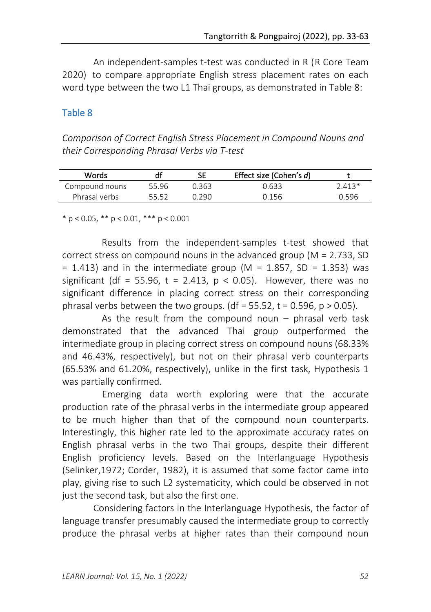An independent-samples t-test was conducted in R (R Core Team 2020) to compare appropriate English stress placement rates on each word type between the two L1 Thai groups, as demonstrated in Table 8:

#### Table 8

*Comparison of Correct English Stress Placement in Compound Nouns and their Corresponding Phrasal Verbs via T-test*

| Words          |       | SE    | Effect size (Cohen's d) |        |
|----------------|-------|-------|-------------------------|--------|
| Compound nouns | 55.96 | 0.363 | 0.633                   | 2 413* |
| Phrasal verbs  | 55 52 |       | በ 156                   | N 596  |

\* p < 0.05, \*\* p < 0.01, \*\*\* p < 0.001

Results from the independent-samples t-test showed that correct stress on compound nouns in the advanced group (M = 2.733, SD  $= 1.413$ ) and in the intermediate group (M  $= 1.857$ , SD  $= 1.353$ ) was significant (df = 55.96, t = 2.413,  $p < 0.05$ ). However, there was no significant difference in placing correct stress on their corresponding phrasal verbs between the two groups. (df = 55.52, t = 0.596, p > 0.05).

As the result from the compound noun  $-$  phrasal verb task demonstrated that the advanced Thai group outperformed the intermediate group in placing correct stress on compound nouns (68.33% and 46.43%, respectively), but not on their phrasal verb counterparts (65.53% and 61.20%, respectively), unlike in the first task, Hypothesis 1 was partially confirmed.

 Emerging data worth exploring were that the accurate production rate of the phrasal verbs in the intermediate group appeared to be much higher than that of the compound noun counterparts. Interestingly, this higher rate led to the approximate accuracy rates on English phrasal verbs in the two Thai groups, despite their different English proficiency levels. Based on the Interlanguage Hypothesis (Selinker,1972; Corder, 1982), it is assumed that some factor came into play, giving rise to such L2 systematicity, which could be observed in not just the second task, but also the first one.

Considering factors in the Interlanguage Hypothesis, the factor of language transfer presumably caused the intermediate group to correctly produce the phrasal verbs at higher rates than their compound noun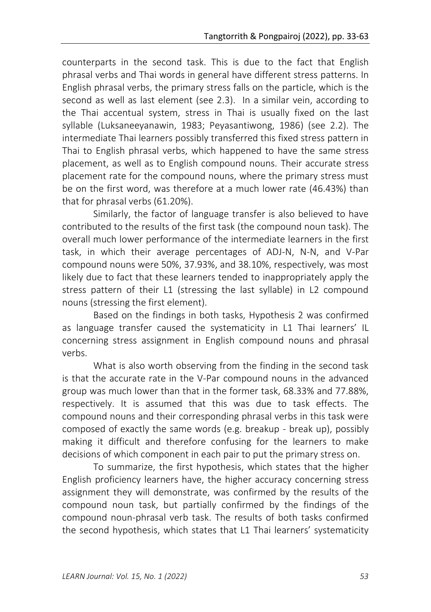counterparts in the second task. This is due to the fact that English phrasal verbs and Thai words in general have different stress patterns. In English phrasal verbs, the primary stress falls on the particle, which is the second as well as last element (see 2.3). In a similar vein, according to the Thai accentual system, stress in Thai is usually fixed on the last syllable (Luksaneeyanawin, 1983; Peyasantiwong, 1986) (see 2.2). The intermediate Thai learners possibly transferred this fixed stress pattern in Thai to English phrasal verbs, which happened to have the same stress placement, as well as to English compound nouns. Their accurate stress placement rate for the compound nouns, where the primary stress must be on the first word, was therefore at a much lower rate (46.43%) than that for phrasal verbs (61.20%).

Similarly, the factor of language transfer is also believed to have contributed to the results of the first task (the compound noun task). The overall much lower performance of the intermediate learners in the first task, in which their average percentages of ADJ-N, N-N, and V-Par compound nouns were 50%, 37.93%, and 38.10%, respectively, was most likely due to fact that these learners tended to inappropriately apply the stress pattern of their L1 (stressing the last syllable) in L2 compound nouns (stressing the first element).

Based on the findings in both tasks, Hypothesis 2 was confirmed as language transfer caused the systematicity in L1 Thai learners' IL concerning stress assignment in English compound nouns and phrasal verbs.

What is also worth observing from the finding in the second task is that the accurate rate in the V-Par compound nouns in the advanced group was much lower than that in the former task, 68.33% and 77.88%, respectively. It is assumed that this was due to task effects. The compound nouns and their corresponding phrasal verbs in this task were composed of exactly the same words (e.g. breakup - break up), possibly making it difficult and therefore confusing for the learners to make decisions of which component in each pair to put the primary stress on.

To summarize, the first hypothesis, which states that the higher English proficiency learners have, the higher accuracy concerning stress assignment they will demonstrate, was confirmed by the results of the compound noun task, but partially confirmed by the findings of the compound noun-phrasal verb task. The results of both tasks confirmed the second hypothesis, which states that L1 Thai learners' systematicity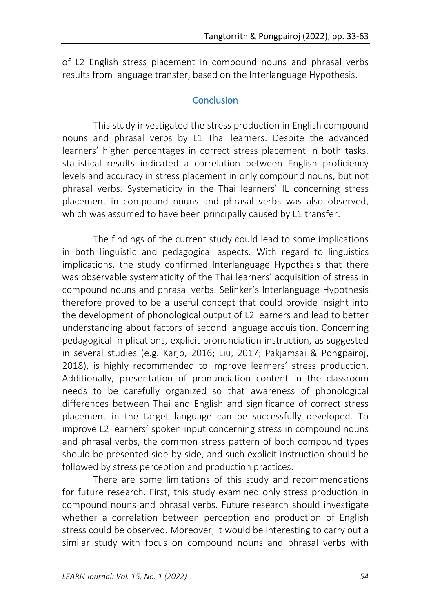of L2 English stress placement in compound nouns and phrasal verbs results from language transfer, based on the Interlanguage Hypothesis.

#### **Conclusion**

This study investigated the stress production in English compound nouns and phrasal verbs by L1 Thai learners. Despite the advanced learners' higher percentages in correct stress placement in both tasks, statistical results indicated a correlation between English proficiency levels and accuracy in stress placement in only compound nouns, but not phrasal verbs. Systematicity in the Thai learners' IL concerning stress placement in compound nouns and phrasal verbs was also observed, which was assumed to have been principally caused by L1 transfer.

The findings of the current study could lead to some implications in both linguistic and pedagogical aspects. With regard to linguistics implications, the study confirmed Interlanguage Hypothesis that there was observable systematicity of the Thai learners' acquisition of stress in compound nouns and phrasal verbs. Selinker's Interlanguage Hypothesis therefore proved to be a useful concept that could provide insight into the development of phonological output of L2 learners and lead to better understanding about factors of second language acquisition. Concerning pedagogical implications, explicit pronunciation instruction, as suggested in several studies (e.g. Karjo, 2016; Liu, 2017; Pakjamsai & Pongpairoj, 2018), is highly recommended to improve learners' stress production. Additionally, presentation of pronunciation content in the classroom needs to be carefully organized so that awareness of phonological differences between Thai and English and significance of correct stress placement in the target language can be successfully developed. To improve L2 learners' spoken input concerning stress in compound nouns and phrasal verbs, the common stress pattern of both compound types should be presented side-by-side, and such explicit instruction should be followed by stress perception and production practices.

There are some limitations of this study and recommendations for future research. First, this study examined only stress production in compound nouns and phrasal verbs. Future research should investigate whether a correlation between perception and production of English stress could be observed. Moreover, it would be interesting to carry out a similar study with focus on compound nouns and phrasal verbs with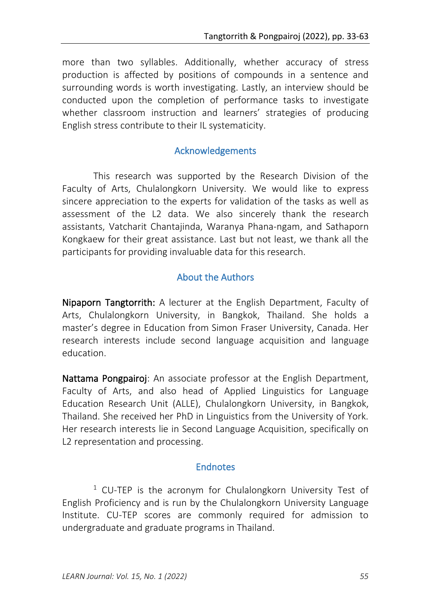more than two syllables. Additionally, whether accuracy of stress production is affected by positions of compounds in a sentence and surrounding words is worth investigating. Lastly, an interview should be conducted upon the completion of performance tasks to investigate whether classroom instruction and learners' strategies of producing English stress contribute to their IL systematicity.

### Acknowledgements

This research was supported by the Research Division of the Faculty of Arts, Chulalongkorn University. We would like to express sincere appreciation to the experts for validation of the tasks as well as assessment of the L2 data. We also sincerely thank the research assistants, Vatcharit Chantajinda, Waranya Phana-ngam, and Sathaporn Kongkaew for their great assistance. Last but not least, we thank all the participants for providing invaluable data for this research.

# About the Authors

Nipaporn Tangtorrith: A lecturer at the English Department, Faculty of Arts, Chulalongkorn University, in Bangkok, Thailand. She holds a master's degree in Education from Simon Fraser University, Canada. Her research interests include second language acquisition and language education.

Nattama Pongpairoj: An associate professor at the English Department, Faculty of Arts, and also head of Applied Linguistics for Language Education Research Unit (ALLE), Chulalongkorn University, in Bangkok, Thailand. She received her PhD in Linguistics from the University of York. Her research interests lie in Second Language Acquisition, specifically on L2 representation and processing.

### **Endnotes**

 $1$  CU-TEP is the acronym for Chulalongkorn University Test of English Proficiency and is run by the Chulalongkorn University Language Institute. CU-TEP scores are commonly required for admission to undergraduate and graduate programs in Thailand.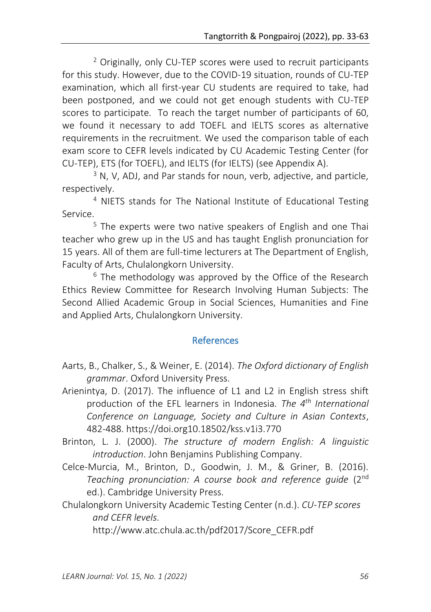<sup>2</sup> Originally, only CU-TEP scores were used to recruit participants for this study. However, due to the COVID-19 situation, rounds of CU-TEP examination, which all first-year CU students are required to take, had been postponed, and we could not get enough students with CU-TEP scores to participate. To reach the target number of participants of 60, we found it necessary to add TOEFL and IELTS scores as alternative requirements in the recruitment. We used the comparison table of each exam score to CEFR levels indicated by CU Academic Testing Center (for CU-TEP), ETS (for TOEFL), and IELTS (for IELTS) (see Appendix A).

 $3$  N, V, ADJ, and Par stands for noun, verb, adjective, and particle, respectively.

<sup>4</sup> NIETS stands for The National Institute of Educational Testing Service.

<sup>5</sup> The experts were two native speakers of English and one Thai teacher who grew up in the US and has taught English pronunciation for 15 years. All of them are full-time lecturers at The Department of English, Faculty of Arts, Chulalongkorn University.

 $6$  The methodology was approved by the Office of the Research Ethics Review Committee for Research Involving Human Subjects: The Second Allied Academic Group in Social Sciences, Humanities and Fine and Applied Arts, Chulalongkorn University.

# References

- Aarts, B., Chalker, S., & Weiner, E. (2014). *The Oxford dictionary of English grammar*. Oxford University Press.
- Arienintya, D. (2017). The influence of L1 and L2 in English stress shift production of the EFL learners in Indonesia. *The 4th International Conference on Language, Society and Culture in Asian Contexts*, 482-488. https://doi.org10.18502/kss.v1i3.770
- Brinton, L. J. (2000). *The structure of modern English: A linguistic introduction*. John Benjamins Publishing Company.
- Celce-Murcia, M., Brinton, D., Goodwin, J. M., & Griner, B. (2016). *Teaching pronunciation: A course book and reference guide* (2 nd ed.). Cambridge University Press.
- Chulalongkorn University Academic Testing Center (n.d.). *CU-TEP scores and CEFR levels*.

http://www.atc.chula.ac.th/pdf2017/Score\_CEFR.pdf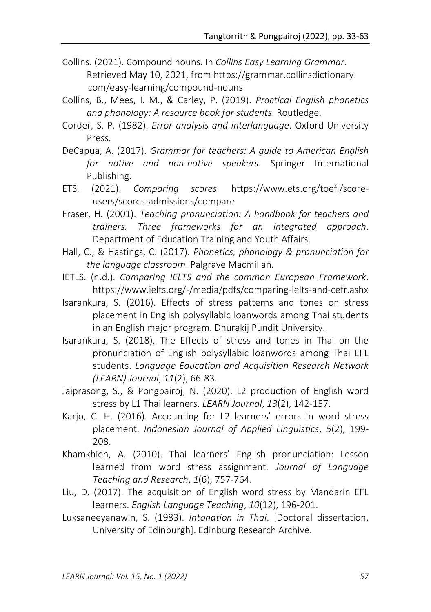- Collins. (2021). Compound nouns. In *Collins Easy Learning Grammar*. Retrieved May 10, 2021, from https://grammar.collinsdictionary. com/easy-learning/compound-nouns
- Collins, B., Mees, I. M., & Carley, P. (2019). *Practical English phonetics and phonology: A resource book for students*. Routledge.
- Corder, S. P. (1982). *Error analysis and interlanguage*. Oxford University Press.
- DeCapua, A. (2017). *Grammar for teachers: A guide to American English for native and non-native speakers*. Springer International Publishing.
- ETS. (2021). *Comparing scores*. https://www.ets.org/toefl/scoreusers/scores-admissions/compare
- Fraser, H. (2001). *Teaching pronunciation: A handbook for teachers and trainers. Three frameworks for an integrated approach*. Department of Education Training and Youth Affairs.
- Hall, C., & Hastings, C. (2017). *Phonetics, phonology & pronunciation for the language classroom*. Palgrave Macmillan.
- IETLS. (n.d.). *Comparing IELTS and the common European Framework*. https://www.ielts.org/-/media/pdfs/comparing-ielts-and-cefr.ashx
- Isarankura, S. (2016). Effects of stress patterns and tones on stress placement in English polysyllabic loanwords among Thai students in an English major program. Dhurakij Pundit University.
- Isarankura, S. (2018). The Effects of stress and tones in Thai on the pronunciation of English polysyllabic loanwords among Thai EFL students. *Language Education and Acquisition Research Network (LEARN) Journal*, *11*(2), 66-83.
- Jaiprasong, S., & Pongpairoj, N. (2020). L2 production of English word stress by L1 Thai learners. *LEARN Journal*, *13*(2), 142-157.
- Karjo, C. H. (2016). Accounting for L2 learners' errors in word stress placement. *Indonesian Journal of Applied Linguistics*, *5*(2), 199- 208.
- Khamkhien, A. (2010). Thai learners' English pronunciation: Lesson learned from word stress assignment. *Journal of Language Teaching and Research*, *1*(6), 757-764.
- Liu, D. (2017). The acquisition of English word stress by Mandarin EFL learners. *English Language Teaching*, *10*(12), 196-201.
- Luksaneeyanawin, S. (1983). *Intonation in Thai*. [Doctoral dissertation, University of Edinburgh]. Edinburg Research Archive.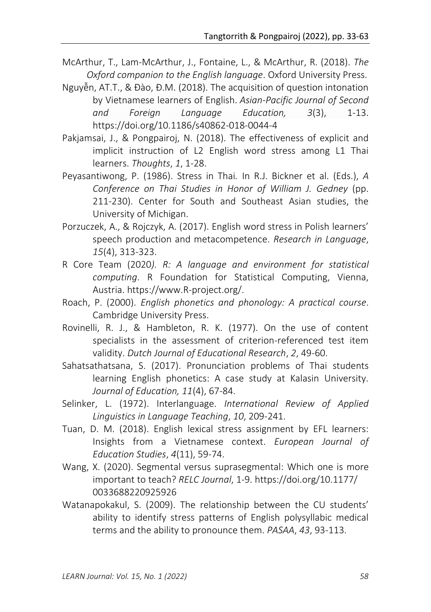- McArthur, T., Lam-McArthur, J., Fontaine, L., & McArthur, R. (2018). *The Oxford companion to the English language*. Oxford University Press.
- Nguyễn, AT.T., & Đào, Đ.M. (2018). The acquisition of question intonation by Vietnamese learners of English. *Asian-Pacific Journal of Second and Foreign Language Education, 3*(3), 1-13. https://doi.org/10.1186/s40862-018-0044-4
- Pakjamsai, J., & Pongpairoj, N. (2018). The effectiveness of explicit and implicit instruction of L2 English word stress among L1 Thai learners. *Thoughts*, *1*, 1-28.
- Peyasantiwong, P. (1986). Stress in Thai*.* In R.J. Bickner et al. (Eds.), *A Conference on Thai Studies in Honor of William J. Gedney* (pp. 211-230). Center for South and Southeast Asian studies, the University of Michigan.
- Porzuczek, A., & Rojczyk, A. (2017). English word stress in Polish learners' speech production and metacompetence. *Research in Language*, *15*(4), 313-323.
- R Core Team (2020*). R: A language and environment for statistical computing*. R Foundation for Statistical Computing, Vienna, Austria. https://www.R-project.org/.
- Roach, P. (2000). *English phonetics and phonology: A practical course*. Cambridge University Press.
- Rovinelli, R. J., & Hambleton, R. K. (1977). On the use of content specialists in the assessment of criterion-referenced test item validity. *Dutch Journal of Educational Research*, *2*, 49-60.
- Sahatsathatsana, S. (2017). Pronunciation problems of Thai students learning English phonetics: A case study at Kalasin University. *Journal of Education, 11*(4), 67-84.
- Selinker, L. (1972). Interlanguage. *International Review of Applied Linguistics in Language Teaching*, *10*, 209-241.
- Tuan, D. M. (2018). English lexical stress assignment by EFL learners: Insights from a Vietnamese context. *European Journal of Education Studies*, *4*(11), 59-74.
- Wang, X. (2020). Segmental versus suprasegmental: Which one is more important to teach? *RELC Journal*, 1-9. https://doi.org/10.1177/ 0033688220925926
- Watanapokakul, S. (2009). The relationship between the CU students' ability to identify stress patterns of English polysyllabic medical terms and the ability to pronounce them. *PASAA*, *43*, 93-113.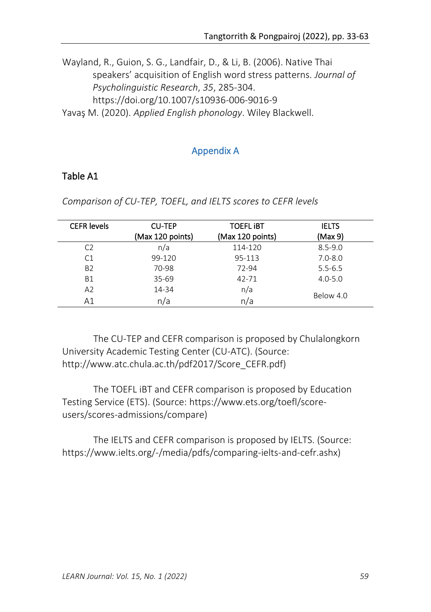Wayland, R., Guion, S. G., Landfair, D., & Li, B. (2006). Native Thai speakers' acquisition of English word stress patterns. *Journal of Psycholinguistic Research*, *35*, 285-304. https://doi.org/10.1007/s10936-006-9016-9 Yavaş M. (2020). *Applied English phonology*. Wiley Blackwell.

# Appendix A

# Table A1

| <b>CEFR</b> levels | <b>CU-TEP</b><br>(Max 120 points) | <b>TOEFL IBT</b><br>(Max 120 points) | <b>IELTS</b><br>(Max 9) |
|--------------------|-----------------------------------|--------------------------------------|-------------------------|
| C <sub>2</sub>     | n/a                               | 114-120                              | $8.5 - 9.0$             |
| C1                 | 99-120                            | 95-113                               | $7.0 - 8.0$             |
| <b>B2</b>          | 70-98                             | 72-94                                | $5.5 - 6.5$             |
| <b>B1</b>          | $35 - 69$                         | 42-71                                | $4.0 - 5.0$             |
| A2                 | 14-34                             | n/a                                  | Below 4.0               |
| Α1                 | n/a                               | n/a                                  |                         |

*Comparison of CU-TEP, TOEFL, and IELTS scores to CEFR levels* 

The CU-TEP and CEFR comparison is proposed by Chulalongkorn University Academic Testing Center (CU-ATC). (Source: http://www.atc.chula.ac.th/pdf2017/Score\_CEFR.pdf)

The TOEFL iBT and CEFR comparison is proposed by Education Testing Service (ETS). (Source: https://www.ets.org/toefl/scoreusers/scores-admissions/compare)

The IELTS and CEFR comparison is proposed by IELTS. (Source: https://www.ielts.org/-/media/pdfs/comparing-ielts-and-cefr.ashx)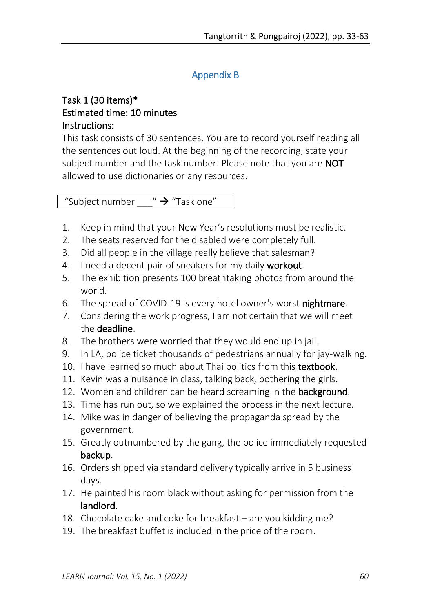# Appendix B

# Task 1 (30 items)\* Estimated time: 10 minutes Instructions:

This task consists of 30 sentences. You are to record yourself reading all the sentences out loud. At the beginning of the recording, state your subject number and the task number. Please note that you are **NOT** allowed to use dictionaries or any resources.

"Subject number  $\rightarrow$  "Task one"

- 1. Keep in mind that your New Year's resolutions must be realistic.
- 2. The seats reserved for the disabled were completely full.
- 3. Did all people in the village really believe that salesman?
- 4. I need a decent pair of sneakers for my daily workout.
- 5. The exhibition presents 100 breathtaking photos from around the world.
- 6. The spread of COVID-19 is every hotel owner's worst nightmare.
- 7. Considering the work progress, I am not certain that we will meet the deadline.
- 8. The brothers were worried that they would end up in jail.
- 9. In LA, police ticket thousands of pedestrians annually for jay-walking.
- 10. I have learned so much about Thai politics from this textbook.
- 11. Kevin was a nuisance in class, talking back, bothering the girls.
- 12. Women and children can be heard screaming in the background.
- 13. Time has run out, so we explained the process in the next lecture.
- 14. Mike was in danger of believing the propaganda spread by the government.
- 15. Greatly outnumbered by the gang, the police immediately requested backup.
- 16. Orders shipped via standard delivery typically arrive in 5 business days.
- 17. He painted his room black without asking for permission from the landlord.
- 18. Chocolate cake and coke for breakfast are you kidding me?
- 19. The breakfast buffet is included in the price of the room.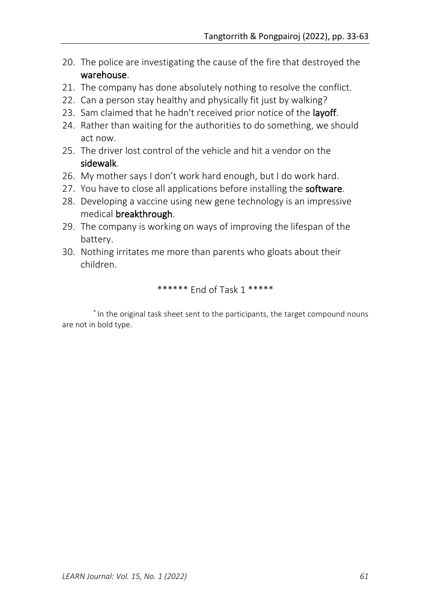- 20. The police are investigating the cause of the fire that destroyed the warehouse.
- 21. The company has done absolutely nothing to resolve the conflict.
- 22. Can a person stay healthy and physically fit just by walking?
- 23. Sam claimed that he hadn't received prior notice of the layoff.
- 24. Rather than waiting for the authorities to do something, we should act now.
- 25. The driver lost control of the vehicle and hit a vendor on the sidewalk.
- 26. My mother says I don't work hard enough, but I do work hard.
- 27. You have to close all applications before installing the software.
- 28. Developing a vaccine using new gene technology is an impressive medical breakthrough.
- 29. The company is working on ways of improving the lifespan of the battery.
- 30. Nothing irritates me more than parents who gloats about their children.

\*\*\*\*\*\* End of Task 1 \*\*\*\*\*

\* In the original task sheet sent to the participants, the target compound nouns are not in bold type.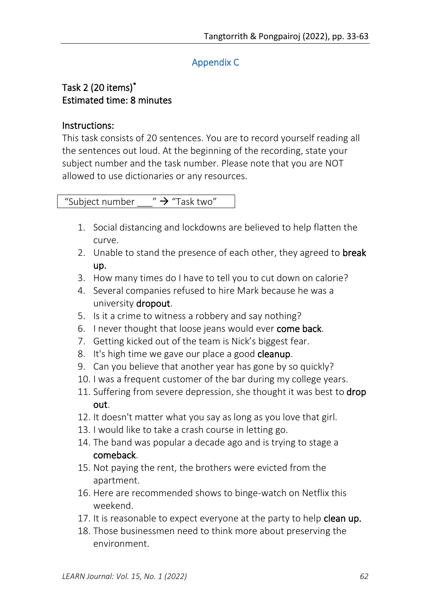# Appendix C

# Task 2 (20 items)\* Estimated time: 8 minutes

### Instructions:

This task consists of 20 sentences. You are to record yourself reading all the sentences out loud. At the beginning of the recording, state your subject number and the task number. Please note that you are NOT allowed to use dictionaries or any resources.

"Subject number  $\rightarrow$  "Task two"

- 1. Social distancing and lockdowns are believed to help flatten the curve.
- 2. Unable to stand the presence of each other, they agreed to **break** up.
- 3. How many times do I have to tell you to cut down on calorie?
- 4. Several companies refused to hire Mark because he was a university dropout.
- 5. Is it a crime to witness a robbery and say nothing?
- 6. I never thought that loose jeans would ever come back.
- 7. Getting kicked out of the team is Nick's biggest fear.
- 8. It's high time we gave our place a good **cleanup**.
- 9. Can you believe that another year has gone by so quickly?
- 10. I was a frequent customer of the bar during my college years.
- 11. Suffering from severe depression, she thought it was best to drop out.
- 12. It doesn't matter what you say as long as you love that girl.
- 13. I would like to take a crash course in letting go.
- 14. The band was popular a decade ago and is trying to stage a comeback.
- 15. Not paying the rent, the brothers were evicted from the apartment.
- 16. Here are recommended shows to binge-watch on Netflix this weekend.
- 17. It is reasonable to expect everyone at the party to help clean up.
- 18. Those businessmen need to think more about preserving the environment.